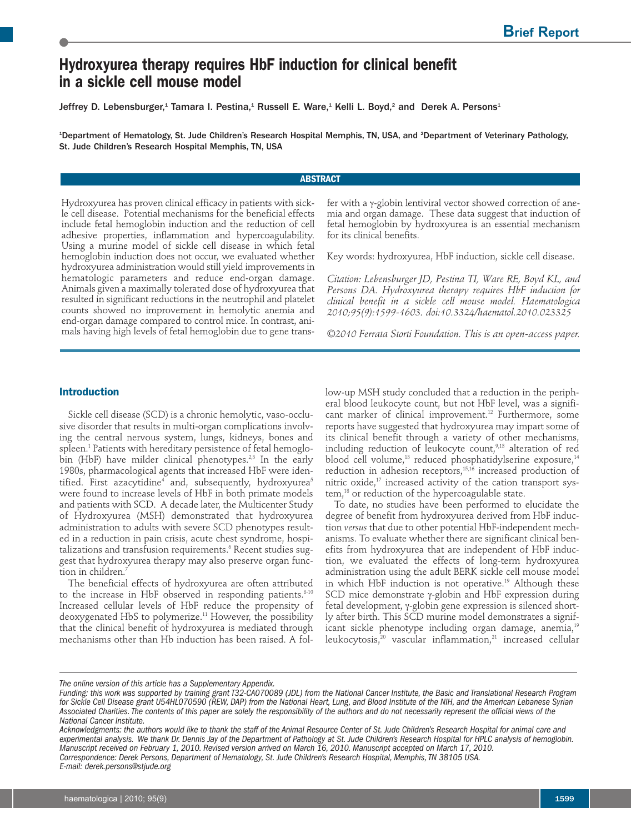# **Hydroxyurea therapy requires HbF induction for clinical benefit in a sickle cell mouse model**

Jeffrey D. Lebensburger,<sup>1</sup> Tamara I. Pestina,<sup>1</sup> Russell E. Ware,<sup>1</sup> Kelli L. Boyd,<sup>2</sup> and Derek A. Persons<sup>1</sup>

1 Department of Hematology, St. Jude Children's Research Hospital Memphis, TN, USA, and <sup>2</sup> Department of Veterinary Pathology, St. Jude Children's Research Hospital Memphis, TN, USA

## **ABSTRACT**

Hydroxyurea has proven clinical efficacy in patients with sickle cell disease. Potential mechanisms for the beneficial effects include fetal hemoglobin induction and the reduction of cell adhesive properties, inflammation and hypercoagulability. Using a murine model of sickle cell disease in which fetal hemoglobin induction does not occur, we evaluated whether hydroxyurea administration would still yield improvements in hematologic parameters and reduce end-organ damage. Animals given a maximally tolerated dose of hydroxyurea that resulted in significant reductions in the neutrophil and platelet counts showed no improvement in hemolytic anemia and end-organ damage compared to control mice. In contrast, animals having high levels of fetal hemoglobin due to gene trans-

fer with a γ-globin lentiviral vector showed correction of anemia and organ damage. These data suggest that induction of fetal hemoglobin by hydroxyurea is an essential mechanism for its clinical benefits.

Key words: hydroxyurea, HbF induction, sickle cell disease.

*Citation: Lebensburger JD, Pestina TI, Ware RE, Boyd KL, and Persons DA. Hydroxyurea therapy requires HbF induction for clinical benefit in a sickle cell mouse model. Haematologica 2010;95(9):1599-1603. doi:10.3324/haematol.2010.023325*

*©2010 Ferrata Storti Foundation. This is an open-access paper.*

## **Introduction**

Sickle cell disease (SCD) is a chronic hemolytic, vaso-occlusive disorder that results in multi-organ complications involving the central nervous system, lungs, kidneys, bones and spleen. <sup>1</sup> Patients with hereditary persistence of fetal hemoglobin (HbF) have milder clinical phenotypes.<sup>2,3</sup> In the early 1980s, pharmacological agents that increased HbF were identified. First azacytidine<sup>4</sup> and, subsequently, hydroxyurea<sup>5</sup> were found to increase levels of HbF in both primate models and patients with SCD. A decade later, the Multicenter Study of Hydroxyurea (MSH) demonstrated that hydroxyurea administration to adults with severe SCD phenotypes resulted in a reduction in pain crisis, acute chest syndrome, hospitalizations and transfusion requirements. <sup>6</sup> Recent studies suggest that hydroxyurea therapy may also preserve organ function in children. 7

The beneficial effects of hydroxyurea are often attributed to the increase in HbF observed in responding patients. 8-10 Increased cellular levels of HbF reduce the propensity of deoxygenated HbS to polymerize. <sup>11</sup> However, the possibility that the clinical benefit of hydroxyurea is mediated through mechanisms other than Hb induction has been raised. A follow-up MSH study concluded that a reduction in the peripheral blood leukocyte count, but not HbF level, was a significant marker of clinical improvement. <sup>12</sup> Furthermore, some reports have suggested that hydroxyurea may impart some of its clinical benefit through a variety of other mechanisms, including reduction of leukocyte count, 9,13 alteration of red blood cell volume,<sup>13</sup> reduced phosphatidylserine exposure,<sup>14</sup> reduction in adhesion receptors, 15,16 increased production of nitric oxide, <sup>17</sup> increased activity of the cation transport system, <sup>18</sup> or reduction of the hypercoagulable state.

To date, no studies have been performed to elucidate the degree of benefit from hydroxyurea derived from HbF induction *versus* that due to other potential HbF-independent mechanisms. To evaluate whether there are significant clinical benefits from hydroxyurea that are independent of HbF induction, we evaluated the effects of long-term hydroxyurea administration using the adult BERK sickle cell mouse model in which HbF induction is not operative. <sup>19</sup> Although these SCD mice demonstrate γ-globin and HbF expression during fetal development, γ-globin gene expression is silenced shortly after birth. This SCD murine model demonstrates a significant sickle phenotype including organ damage, anemia, 19 leukocytosis, <sup>20</sup> vascular inflammation, <sup>21</sup> increased cellular

*The online version of this article has a Supplementary Appendix.*

Funding: this work was supported by training grant T32-CA070089 (JDL) from the National Cancer Institute, the Basic and Translational Research Program for Sickle Cell Disease grant U54HL070590 (REW, DAP) from the National Heart, Lung, and Blood Institute of the NIH, and the American Lebanese Syrian Associated Charities. The contents of this paper are solely the responsibility of the authors and do not necessarily represent the official views of the *National Cancer Institute.*

Acknowledgments: the authors would like to thank the staff of the Animal Resource Center of St. Jude Children's Research Hospital for animal care and experimental analysis. We thank Dr. Dennis Jay of the Department of Pathology at St. Jude Children's Research Hospital for HPLC analysis of hemoglobin. Manuscript received on February 1, 2010. Revised version arrived on March 16, 2010. Manuscript accepted on March 17, 2010. Correspondence: Derek Persons, Department of Hematology, St. Jude Children's Research Hospital, Memphis, TN 38105 USA.<br>E-mail: derek.persons@stjude.org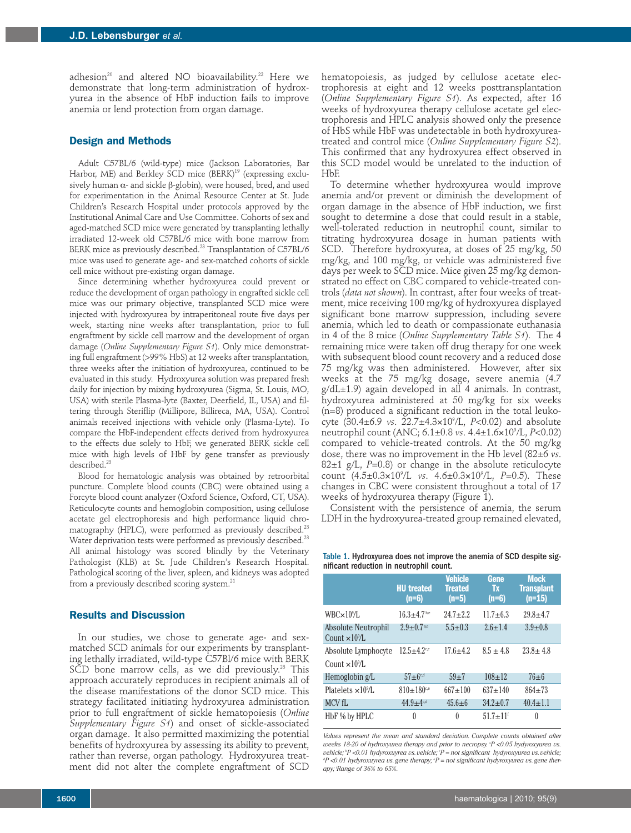adhesion $^{20}$  and altered NO bioavailability. $^{22}$  Here we demonstrate that long-term administration of hydroxyurea in the absence of HbF induction fails to improve anemia or lend protection from organ damage.

### **Design and Methods**

Adult C57BL/6 (wild-type) mice (Jackson Laboratories, Bar Harbor, ME) and Berkley SCD mice (BERK) <sup>19</sup> (expressing exclusively human  $α$ - and sickle  $β$ -globin), were housed, bred, and used for experimentation in the Animal Resource Center at St. Jude Children's Research Hospital under protocols approved by the Institutional Animal Care and Use Committee. Cohorts of sex and aged-matched SCD mice were generated by transplanting lethally irradiated 12-week old C57BL/6 mice with bone marrow from BERK mice as previously described. <sup>23</sup> Transplantation of C57BL/6 mice was used to generate age- and sex-matched cohorts of sickle cell mice without pre-existing organ damage.

Since determining whether hydroxyurea could prevent or reduce the development of organ pathology in engrafted sickle cell mice was our primary objective, transplanted SCD mice were injected with hydroxyurea by intraperitoneal route five days per week, starting nine weeks after transplantation, prior to full engraftment by sickle cell marrow and the development of organ damage (*Online Supplementary Figure S1*). Only mice demonstrating full engraftment (>99% HbS) at 12 weeks after transplantation, three weeks after the initiation of hydroxyurea, continued to be evaluated in this study. Hydroxyurea solution was prepared fresh daily for injection by mixing hydroxyurea (Sigma, St. Louis, MO, USA) with sterile Plasma-lyte (Baxter, Deerfield, IL, USA) and filtering through Steriflip (Millipore, Billireca, MA, USA). Control animals received injections with vehicle only (Plasma-Lyte). To compare the HbF-independent effects derived from hydroxyurea to the effects due solely to HbF, we generated BERK sickle cell mice with high levels of HbF by gene transfer as previously described. 23

Blood for hematologic analysis was obtained by retroorbital puncture. Complete blood counts (CBC) were obtained using a Forcyte blood count analyzer (Oxford Science, Oxford, CT, USA). Reticulocyte counts and hemoglobin composition, using cellulose acetate gel electrophoresis and high performance liquid chromatography (HPLC), were performed as previously described. $^{23}$ Water deprivation tests were performed as previously described. $^{23}$ All animal histology was scored blindly by the Veterinary Pathologist (KLB) at St. Jude Children's Research Hospital. Pathological scoring of the liver, spleen, and kidneys was adopted from a previously described scoring system. $^{21}$ 

## **Results and Discussion**

In our studies, we chose to generate age- and sexmatched SCD animals for our experiments by transplanting lethally irradiated, wild-type C57Bl/6 mice with BERK SCD bone marrow cells, as we did previously.<sup>23</sup> This approach accurately reproduces in recipient animals all of the disease manifestations of the donor SCD mice. This strategy facilitated initiating hydroxyurea administration prior to full engraftment of sickle hematopoiesis (*Online Supplementary Figure S1*) and onset of sickle-associated organ damage. It also permitted maximizing the potential benefits of hydroxyurea by assessing its ability to prevent, rather than reverse, organ pathology. Hydroxyurea treatment did not alter the complete engraftment of SCD

hematopoiesis, as judged by cellulose acetate electrophoresis at eight and 12 weeks posttransplantation (*Online Supplementary Figure S1*). As expected, after 16 weeks of hydroxyurea therapy cellulose acetate gel electrophoresis and HPLC analysis showed only the presence of HbS while HbF was undetectable in both hydroxyureatreated and control mice (*Online Supplementary Figure S2*). This confirmed that any hydroxyurea effect observed in this SCD model would be unrelated to the induction of HbF.

To determine whether hydroxyurea would improve anemia and/or prevent or diminish the development of organ damage in the absence of HbF induction, we first sought to determine a dose that could result in a stable, well-tolerated reduction in neutrophil count, similar to titrating hydroxyurea dosage in human patients with SCD. Therefore hydroxyurea, at doses of 25 mg/kg, 50 mg/kg, and 100 mg/kg, or vehicle was administered five days per week to SCD mice. Mice given 25 mg/kg demonstrated no effect on CBC compared to vehicle-treated controls (*data not shown*). In contrast, after four weeks of treatment, mice receiving 100 mg/kg of hydroxyurea displayed significant bone marrow suppression, including severe anemia, which led to death or compassionate euthanasia in 4 of the 8 mice (*Online Supplementary Table S1*). The 4 remaining mice were taken off drug therapy for one week with subsequent blood count recovery and a reduced dose 75 mg/kg was then administered. However, after six weeks at the 75 mg/kg dosage, severe anemia (4.7 g/dL±1.9) again developed in all 4 animals. In contrast, hydroxyurea administered at 50 mg/kg for six weeks (n=8) produced a significant reduction in the total leukocyte (30.4±6.9 *vs*. 22.7±4.3¥109 /L, *P*<0.02) and absolute neutrophil count (ANC; 6.1±0.8 *vs*. 4.4±1.6¥109 /L, *P*<0.02) compared to vehicle-treated controls. At the 50 mg/kg dose, there was no improvement in the Hb level (82±6 *vs*. 82±1 g/L, *P*=0.8) or change in the absolute reticulocyte count (4.5±0.3¥109 /L *vs*. 4.6±0.3¥109 /L, *P*=0.5). These changes in CBC were consistent throughout a total of 17 weeks of hydroxyurea therapy (Figure 1).

Consistent with the persistence of anemia, the serum LDH in the hydroxyurea-treated group remained elevated,

Table 1. Hydroxyurea does not improve the anemia of SCD despite significant reduction in neutrophil count.

|                                                          | <b>HU</b> treated<br>$(n=6)$  | <b>Vehicle</b><br><b>Treated</b><br>$(n=5)$ | <b>Gene</b><br>Tx<br>$(n=6)$ | <b>Mock</b><br><b>Transplant</b><br>$(n=15)$ |
|----------------------------------------------------------|-------------------------------|---------------------------------------------|------------------------------|----------------------------------------------|
| WBC×10 <sup>9</sup> /L                                   | $16.3 + 4.7$ <sup>b,e</sup>   | $24.7 + 2.2$                                | $11.7 + 6.3$                 | $29.8 + 4.7$                                 |
| Absolute Neutrophil<br>Count $\times$ 10 <sup>9</sup> /L | $2.9 \pm 0.7$ <sup>a,e</sup>  | $5.5 \pm 0.3$                               | $2.6 \pm 1.4$                | $3.9 \pm 0.8$                                |
| Absolute Lymphocyte<br>Count $\times$ 10 <sup>9</sup> /L | $12.5 \pm 4.2$ <sup>c,e</sup> | $17.6 \pm 4.2$                              | $8.5 \pm 4.8$                | $23.8 \pm 4.8$                               |
| Hemoglobin g/L                                           | $57+6^{c,d}$                  | $59+7$                                      | $108 \pm 12$                 | $76 \pm 6$                                   |
| Platelets $\times$ 10 <sup>9</sup> /L                    | $810\pm180$ <sub>ce</sub>     | $667 + 100$                                 | $637 \pm 140$                | $864 \pm 73$                                 |
| MCV fL                                                   | $44.9 + 4^{c,d}$              | $45.6 \pm 6$                                | $34.2 \pm 0.7$               | $40.4 \pm 1.1$                               |
| HbF % by HPLC                                            | 0                             | $\theta$                                    | $51.7 \pm 11$ <sup>f</sup>   | 0                                            |

*Values represent the mean and standard deviation. Complete counts obtained after weeks 18-20 of hydroxyurea therapy and prior to necropsy. <sup>a</sup> P <0.05 hydyroxyurea vs. vehicle; <sup>b</sup> P <0.01 hydyroxuyrea vs.vehicle; <sup>c</sup> P = not significant hydyroxyurea vs.vehicle; d P <0.01 hydyroxuyrea vs.gene therapy; <sup>e</sup> P = not significant hydyroxyurea vs.gene therapy; <sup>f</sup> Range of 36% to 65%.*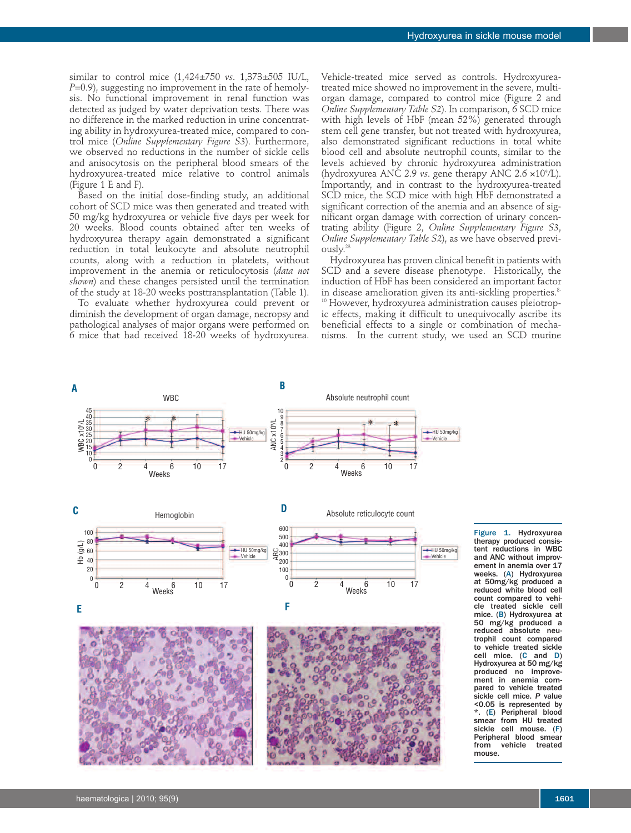similar to control mice (1,424±750 *vs*. 1,373±505 IU/L, *P*=0.9), suggesting no improvement in the rate of hemolysis. No functional improvement in renal function was detected as judged by water deprivation tests. There was no difference in the marked reduction in urine concentrating ability in hydroxyurea-treated mice, compared to control mice (*Online Supplementary Figure S3*). Furthermore, we observed no reductions in the number of sickle cells and anisocytosis on the peripheral blood smears of the hydroxyurea-treated mice relative to control animals (Figure 1 E and F).

Based on the initial dose-finding study, an additional cohort of SCD mice was then generated and treated with 50 mg/kg hydroxyurea or vehicle five days per week for 20 weeks. Blood counts obtained after ten weeks of hydroxyurea therapy again demonstrated a significant reduction in total leukocyte and absolute neutrophil counts, along with a reduction in platelets, without improvement in the anemia or reticulocytosis (*data not shown*) and these changes persisted until the termination of the study at 18-20 weeks posttransplantation (Table 1).

To evaluate whether hydroxyurea could prevent or diminish the development of organ damage, necropsy and pathological analyses of major organs were performed on 6 mice that had received 18-20 weeks of hydroxyurea.

Vehicle-treated mice served as controls. Hydroxyureatreated mice showed no improvement in the severe, multiorgan damage, compared to control mice (Figure 2 and *Online Supplementary Table S2*). In comparison, 6 SCD mice with high levels of HbF (mean 52%) generated through stem cell gene transfer, but not treated with hydroxyurea, also demonstrated significant reductions in total white blood cell and absolute neutrophil counts, similar to the levels achieved by chronic hydroxyurea administration (hydroxyurea ANC 2.9 *vs*. gene therapy ANC 2.6 ¥109 /L). Importantly, and in contrast to the hydroxyurea-treated SCD mice, the SCD mice with high HbF demonstrated a significant correction of the anemia and an absence of significant organ damage with correction of urinary concentrating ability (Figure 2, *Online Supplementary Figure S3*, *Online Supplementary Table S2*), as we have observed previously. 23

Hydroxyurea has proven clinical benefit in patients with SCD and a severe disease phenotype. Historically, the induction of HbF has been considered an important factor in disease amelioration given its anti-sickling properties. 8- <sup>10</sup> However, hydroxyurea administration causes pleiotropic effects, making it difficult to unequivocally ascribe its beneficial effects to a single or combination of mechanisms. In the current study, we used an SCD murine



Figure 1. Hydroxyurea therapy produced consistent reductions in WBC and ANC without improvement in anemia over 17 weeks. (A) Hydroxyurea at 50mg/kg produced a reduced white blood cell count compared to vehicle treated sickle cell mice. (B) Hydroxyurea at 50 mg/kg produced a reduced absolute neutrophil count compared to vehicle treated sickle cell mice. (C and D) Hydroxyurea at 50 mg/kg produced no improvement in anemia compared to vehicle treated sickle cell mice. *P* value <0.05 is represented by \*. (E) Peripheral blood smear from HU treated sickle cell mouse. (F) Peripheral blood smear from vehicle treated mouse.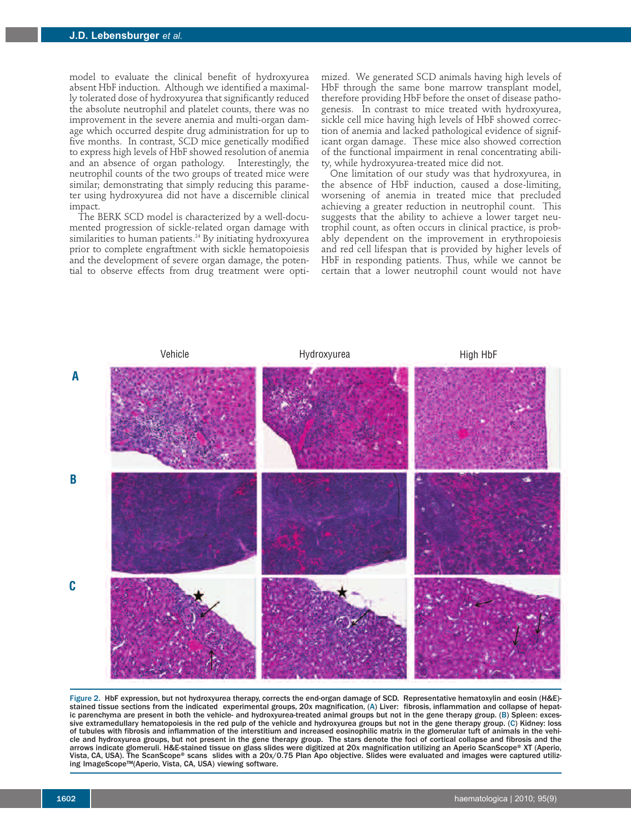model to evaluate the clinical benefit of hydroxyurea absent HbF induction. Although we identified a maximally tolerated dose of hydroxyurea that significantly reduced the absolute neutrophil and platelet counts, there was no improvement in the severe anemia and multi-organ damage which occurred despite drug administration for up to five months. In contrast, SCD mice genetically modified to express high levels of HbF showed resolution of anemia and an absence of organ pathology. Interestingly, the neutrophil counts of the two groups of treated mice were similar; demonstrating that simply reducing this parameter using hydroxyurea did not have a discernible clinical impact.

The BERK SCD model is characterized by a well-documented progression of sickle-related organ damage with similarities to human patients. <sup>24</sup> By initiating hydroxyurea prior to complete engraftment with sickle hematopoiesis and the development of severe organ damage, the potential to observe effects from drug treatment were optimized. We generated SCD animals having high levels of HbF through the same bone marrow transplant model, therefore providing HbF before the onset of disease pathogenesis. In contrast to mice treated with hydroxyurea, sickle cell mice having high levels of HbF showed correction of anemia and lacked pathological evidence of significant organ damage. These mice also showed correction of the functional impairment in renal concentrating ability, while hydroxyurea-treated mice did not.

One limitation of our study was that hydroxyurea, in the absence of HbF induction, caused a dose-limiting, worsening of anemia in treated mice that precluded achieving a greater reduction in neutrophil count. This suggests that the ability to achieve a lower target neutrophil count, as often occurs in clinical practice, is probably dependent on the improvement in erythropoiesis and red cell lifespan that is provided by higher levels of HbF in responding patients. Thus, while we cannot be certain that a lower neutrophil count would not have